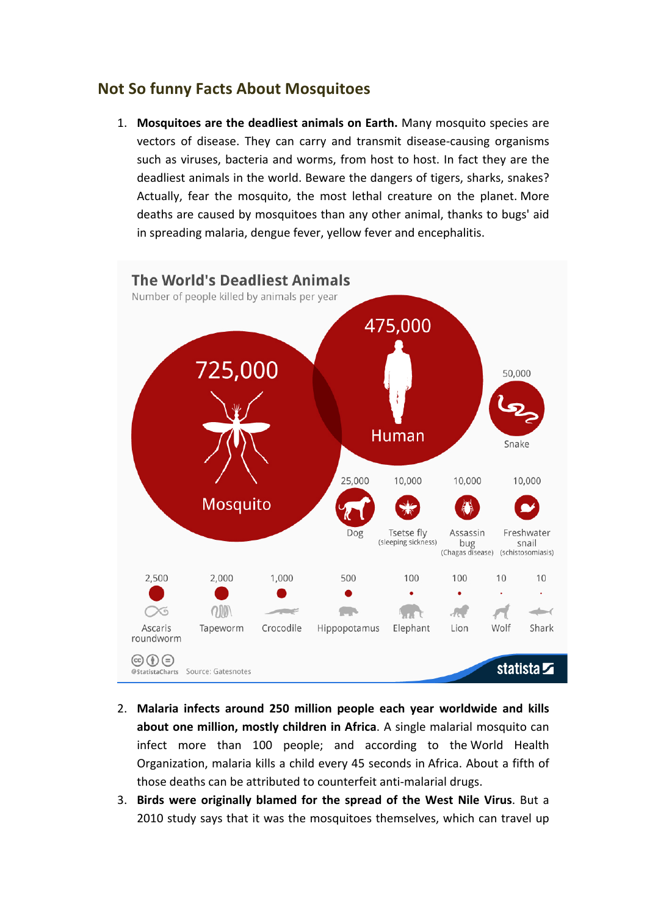## **Not So funny Facts About Mosquitoes**

1. Mosquitoes are the deadliest animals on Earth. Many mosquito species are vectors of disease. They can carry and transmit disease-causing organisms such as viruses, bacteria and worms, from host to host. In fact they are the deadliest animals in the world. Beware the dangers of tigers, sharks, snakes? Actually, fear the mosquito, the most lethal creature on the planet. More deaths are caused by mosquitoes than any other animal, thanks to bugs' aid in spreading malaria, dengue fever, yellow fever and encephalitis.



- 2. Malaria infects around 250 million people each year worldwide and kills **about one million, mostly children in Africa**. A single malarial mosquito can infect more than 100 people; and according to the World Health Organization, malaria kills a child every 45 seconds in Africa. About a fifth of those deaths can be attributed to counterfeit anti-malarial drugs.
- 3. Birds were originally blamed for the spread of the West Nile Virus. But a 2010 study says that it was the mosquitoes themselves, which can travel up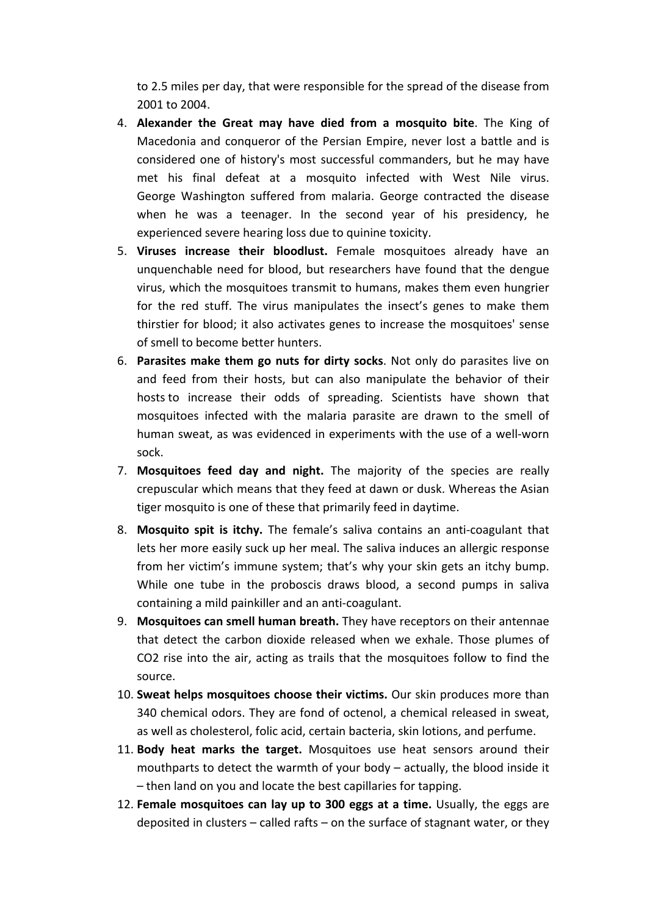to 2.5 miles per day, that were responsible for the spread of the disease from 2001 to 2004.

- 4. **Alexander the Great may have died from a mosquito bite**. The King of Macedonia and conqueror of the Persian Empire, never lost a battle and is considered one of history's most successful commanders, but he may have met his final defeat at a mosquito infected with West Nile virus. George Washington suffered from malaria. George contracted the disease when he was a teenager. In the second year of his presidency, he experienced severe hearing loss due to quinine toxicity.
- 5. Viruses increase their bloodlust. Female mosquitoes already have an unquenchable need for blood, but researchers have found that the dengue virus, which the mosquitoes transmit to humans, makes them even hungrier for the red stuff. The virus manipulates the insect's genes to make them thirstier for blood; it also activates genes to increase the mosquitoes' sense of smell to become better hunters.
- 6. **Parasites make them go nuts for dirty socks**. Not only do parasites live on and feed from their hosts, but can also manipulate the behavior of their hosts to increase their odds of spreading. Scientists have shown that mosquitoes infected with the malaria parasite are drawn to the smell of human sweat, as was evidenced in experiments with the use of a well-worn sock.
- 7. **Mosquitoes feed day and night.** The majority of the species are really crepuscular which means that they feed at dawn or dusk. Whereas the Asian tiger mosquito is one of these that primarily feed in daytime.
- 8. **Mosquito spit is itchy.** The female's saliva contains an anti-coagulant that lets her more easily suck up her meal. The saliva induces an allergic response from her victim's immune system; that's why your skin gets an itchy bump. While one tube in the proboscis draws blood, a second pumps in saliva containing a mild painkiller and an anti-coagulant.
- 9. Mosquitoes can smell human breath. They have receptors on their antennae that detect the carbon dioxide released when we exhale. Those plumes of CO2 rise into the air, acting as trails that the mosquitoes follow to find the source.
- 10. Sweat helps mosquitoes choose their victims. Our skin produces more than 340 chemical odors. They are fond of octenol, a chemical released in sweat, as well as cholesterol, folic acid, certain bacteria, skin lotions, and perfume.
- 11. Body heat marks the target. Mosquitoes use heat sensors around their mouthparts to detect the warmth of your body  $-$  actually, the blood inside it  $-$  then land on you and locate the best capillaries for tapping.
- 12. **Female mosquitoes can lay up to 300 eggs at a time.** Usually, the eggs are deposited in clusters  $-$  called rafts  $-$  on the surface of stagnant water, or they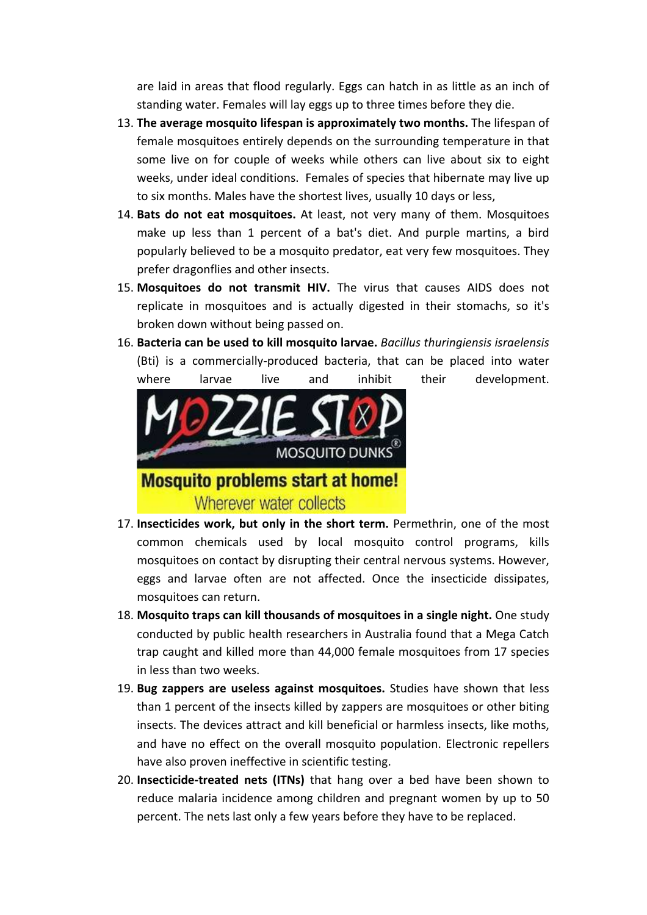are laid in areas that flood regularly. Eggs can hatch in as little as an inch of standing water. Females will lay eggs up to three times before they die.

- 13. **The average mosquito lifespan is approximately two months.** The lifespan of female mosquitoes entirely depends on the surrounding temperature in that some live on for couple of weeks while others can live about six to eight weeks, under ideal conditions. Females of species that hibernate may live up to six months. Males have the shortest lives, usually 10 days or less,
- 14. Bats do not eat mosquitoes. At least, not very many of them. Mosquitoes make up less than 1 percent of a bat's diet. And purple martins, a bird popularly believed to be a mosquito predator, eat very few mosquitoes. They prefer dragonflies and other insects.
- 15. Mosquitoes do not transmit HIV. The virus that causes AIDS does not replicate in mosquitoes and is actually digested in their stomachs, so it's broken down without being passed on.
- 16. **Bacteria can be used to kill mosquito larvae.** *Bacillus thuringiensis israelensis* (Bti) is a commercially-produced bacteria, that can be placed into water where larvae live and inhibit their development.



- 17. Insecticides work, but only in the short term. Permethrin, one of the most common chemicals used by local mosquito control programs, kills mosquitoes on contact by disrupting their central nervous systems. However, eggs and larvae often are not affected. Once the insecticide dissipates, mosquitoes can return.
- 18. Mosquito traps can kill thousands of mosquitoes in a single night. One study conducted by public health researchers in Australia found that a Mega Catch trap caught and killed more than 44,000 female mosquitoes from 17 species in less than two weeks.
- 19. Bug zappers are useless against mosquitoes. Studies have shown that less than 1 percent of the insects killed by zappers are mosquitoes or other biting insects. The devices attract and kill beneficial or harmless insects, like moths, and have no effect on the overall mosquito population. Electronic repellers have also proven ineffective in scientific testing.
- 20. **Insecticide-treated nets (ITNs)** that hang over a bed have been shown to reduce malaria incidence among children and pregnant women by up to 50 percent. The nets last only a few years before they have to be replaced.